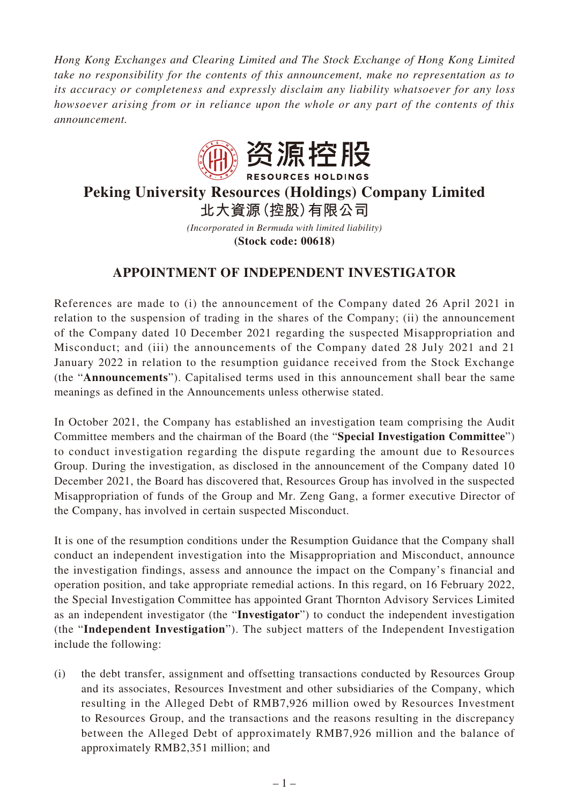*Hong Kong Exchanges and Clearing Limited and The Stock Exchange of Hong Kong Limited take no responsibility for the contents of this announcement, make no representation as to its accuracy or completeness and expressly disclaim any liability whatsoever for any loss howsoever arising from or in reliance upon the whole or any part of the contents of this announcement.*



## **Peking University Resources (Holdings) Company Limited 北大資源(控股)有限公司**

*(Incorporated in Bermuda with limited liability)* **(Stock code: 00618)**

## **APPOINTMENT OF INDEPENDENT INVESTIGATOR**

References are made to (i) the announcement of the Company dated 26 April 2021 in relation to the suspension of trading in the shares of the Company; (ii) the announcement of the Company dated 10 December 2021 regarding the suspected Misappropriation and Misconduct; and (iii) the announcements of the Company dated 28 July 2021 and 21 January 2022 in relation to the resumption guidance received from the Stock Exchange (the "**Announcements**"). Capitalised terms used in this announcement shall bear the same meanings as defined in the Announcements unless otherwise stated.

In October 2021, the Company has established an investigation team comprising the Audit Committee members and the chairman of the Board (the "**Special Investigation Committee**") to conduct investigation regarding the dispute regarding the amount due to Resources Group. During the investigation, as disclosed in the announcement of the Company dated 10 December 2021, the Board has discovered that, Resources Group has involved in the suspected Misappropriation of funds of the Group and Mr. Zeng Gang, a former executive Director of the Company, has involved in certain suspected Misconduct.

It is one of the resumption conditions under the Resumption Guidance that the Company shall conduct an independent investigation into the Misappropriation and Misconduct, announce the investigation findings, assess and announce the impact on the Company's financial and operation position, and take appropriate remedial actions. In this regard, on 16 February 2022, the Special Investigation Committee has appointed Grant Thornton Advisory Services Limited as an independent investigator (the "**Investigator**") to conduct the independent investigation (the "**Independent Investigation**"). The subject matters of the Independent Investigation include the following:

(i) the debt transfer, assignment and offsetting transactions conducted by Resources Group and its associates, Resources Investment and other subsidiaries of the Company, which resulting in the Alleged Debt of RMB7,926 million owed by Resources Investment to Resources Group, and the transactions and the reasons resulting in the discrepancy between the Alleged Debt of approximately RMB7,926 million and the balance of approximately RMB2,351 million; and